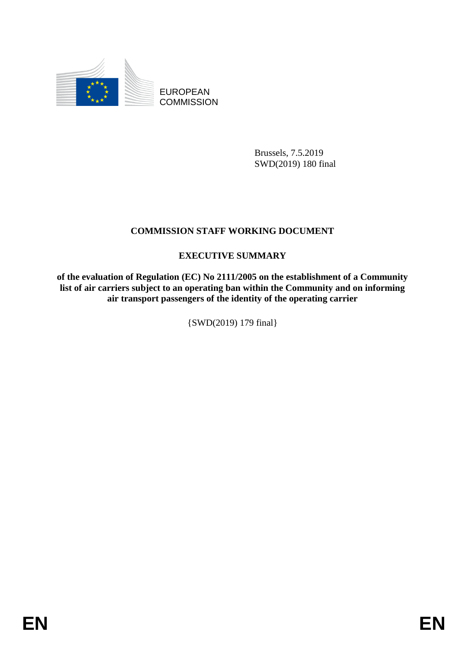

EUROPEAN **COMMISSION** 

> Brussels, 7.5.2019 SWD(2019) 180 final

## **COMMISSION STAFF WORKING DOCUMENT**

## **EXECUTIVE SUMMARY**

**of the evaluation of Regulation (EC) No 2111/2005 on the establishment of a Community list of air carriers subject to an operating ban within the Community and on informing air transport passengers of the identity of the operating carrier**

{SWD(2019) 179 final}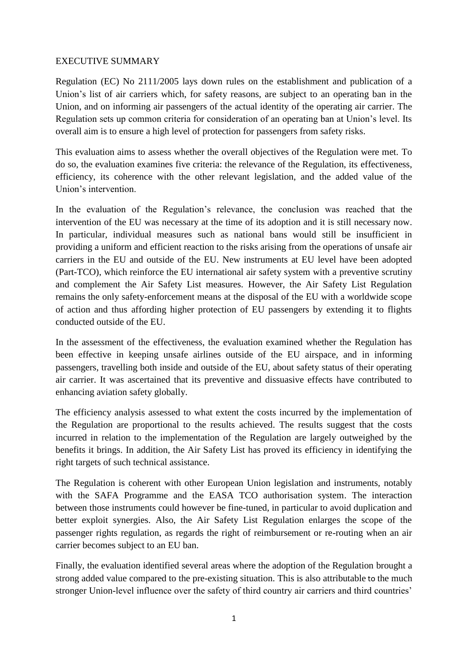## EXECUTIVE SUMMARY

Regulation (EC) No 2111/2005 lays down rules on the establishment and publication of a Union's list of air carriers which, for safety reasons, are subject to an operating ban in the Union, and on informing air passengers of the actual identity of the operating air carrier. The Regulation sets up common criteria for consideration of an operating ban at Union's level. Its overall aim is to ensure a high level of protection for passengers from safety risks.

This evaluation aims to assess whether the overall objectives of the Regulation were met. To do so, the evaluation examines five criteria: the relevance of the Regulation, its effectiveness, efficiency, its coherence with the other relevant legislation, and the added value of the Union's intervention.

In the evaluation of the Regulation's relevance, the conclusion was reached that the intervention of the EU was necessary at the time of its adoption and it is still necessary now. In particular, individual measures such as national bans would still be insufficient in providing a uniform and efficient reaction to the risks arising from the operations of unsafe air carriers in the EU and outside of the EU. New instruments at EU level have been adopted (Part-TCO), which reinforce the EU international air safety system with a preventive scrutiny and complement the Air Safety List measures. However, the Air Safety List Regulation remains the only safety-enforcement means at the disposal of the EU with a worldwide scope of action and thus affording higher protection of EU passengers by extending it to flights conducted outside of the EU.

In the assessment of the effectiveness, the evaluation examined whether the Regulation has been effective in keeping unsafe airlines outside of the EU airspace, and in informing passengers, travelling both inside and outside of the EU, about safety status of their operating air carrier. It was ascertained that its preventive and dissuasive effects have contributed to enhancing aviation safety globally.

The efficiency analysis assessed to what extent the costs incurred by the implementation of the Regulation are proportional to the results achieved. The results suggest that the costs incurred in relation to the implementation of the Regulation are largely outweighed by the benefits it brings. In addition, the Air Safety List has proved its efficiency in identifying the right targets of such technical assistance.

The Regulation is coherent with other European Union legislation and instruments, notably with the SAFA Programme and the EASA TCO authorisation system. The interaction between those instruments could however be fine-tuned, in particular to avoid duplication and better exploit synergies. Also, the Air Safety List Regulation enlarges the scope of the passenger rights regulation, as regards the right of reimbursement or re-routing when an air carrier becomes subject to an EU ban.

Finally, the evaluation identified several areas where the adoption of the Regulation brought a strong added value compared to the pre-existing situation. This is also attributable to the much stronger Union-level influence over the safety of third country air carriers and third countries'